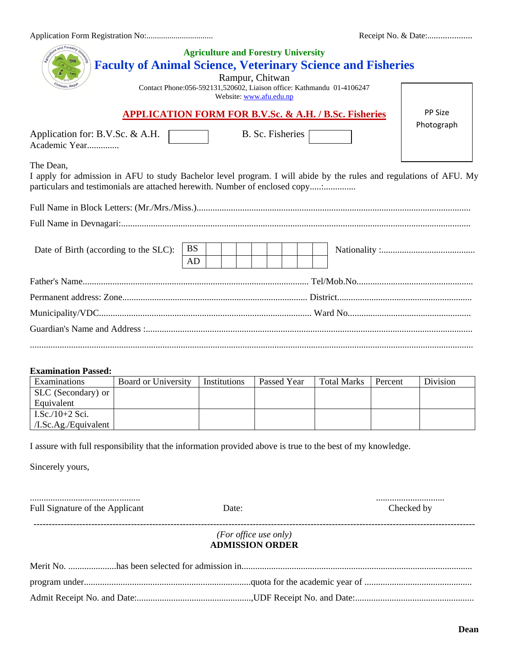Application Form Registration No:................................ Receipt No. & Date:....................

| Receipt No. & Date: |  |  |
|---------------------|--|--|
|---------------------|--|--|

| and Forestru                                                                                                                                                                                                   | <b>Faculty of Animal Science, Veterinary Science and Fisheries</b> |                 | <b>Agriculture and Forestry University</b><br>Rampur, Chitwan<br>Contact Phone:056-592131,520602, Liaison office: Kathmandu 01-4106247<br>Website: www.afu.edu.np |  |             |  |                    |         |            |  |
|----------------------------------------------------------------------------------------------------------------------------------------------------------------------------------------------------------------|--------------------------------------------------------------------|-----------------|-------------------------------------------------------------------------------------------------------------------------------------------------------------------|--|-------------|--|--------------------|---------|------------|--|
|                                                                                                                                                                                                                | <b>APPLICATION FORM FOR B.V.Sc. &amp; A.H. / B.Sc. Fisheries</b>   |                 |                                                                                                                                                                   |  |             |  |                    |         | PP Size    |  |
| Application for: B.V.Sc. & A.H.<br>B. Sc. Fisheries<br>Academic Year                                                                                                                                           |                                                                    |                 |                                                                                                                                                                   |  |             |  |                    |         | Photograph |  |
| The Dean,<br>I apply for admission in AFU to study Bachelor level program. I will abide by the rules and regulations of AFU. My<br>particulars and testimonials are attached herewith. Number of enclosed copy |                                                                    |                 |                                                                                                                                                                   |  |             |  |                    |         |            |  |
|                                                                                                                                                                                                                |                                                                    |                 |                                                                                                                                                                   |  |             |  |                    |         |            |  |
|                                                                                                                                                                                                                |                                                                    |                 |                                                                                                                                                                   |  |             |  |                    |         |            |  |
| Date of Birth (according to the SLC):                                                                                                                                                                          |                                                                    | <b>BS</b><br>AD |                                                                                                                                                                   |  |             |  |                    |         |            |  |
|                                                                                                                                                                                                                |                                                                    |                 |                                                                                                                                                                   |  |             |  |                    |         |            |  |
|                                                                                                                                                                                                                |                                                                    |                 |                                                                                                                                                                   |  |             |  |                    |         |            |  |
|                                                                                                                                                                                                                |                                                                    |                 |                                                                                                                                                                   |  |             |  |                    |         |            |  |
| <b>Examination Passed:</b><br>Examinations                                                                                                                                                                     | Board or University                                                |                 | Institutions                                                                                                                                                      |  | Passed Year |  | <b>Total Marks</b> | Percent | Division   |  |
| SLC (Secondary) or                                                                                                                                                                                             |                                                                    |                 |                                                                                                                                                                   |  |             |  |                    |         |            |  |
| Equivalent                                                                                                                                                                                                     |                                                                    |                 |                                                                                                                                                                   |  |             |  |                    |         |            |  |
| I.Sc./10+2 Sci.<br>/I.Sc.Ag./Equivalent                                                                                                                                                                        |                                                                    |                 |                                                                                                                                                                   |  |             |  |                    |         |            |  |
| I assure with full responsibility that the information provided above is true to the best of my knowledge.                                                                                                     |                                                                    |                 |                                                                                                                                                                   |  |             |  |                    |         |            |  |
| Sincerely yours,                                                                                                                                                                                               |                                                                    |                 |                                                                                                                                                                   |  |             |  |                    |         |            |  |
| Full Signature of the Applicant                                                                                                                                                                                |                                                                    |                 | Date:                                                                                                                                                             |  |             |  | Checked by         |         |            |  |
|                                                                                                                                                                                                                |                                                                    |                 |                                                                                                                                                                   |  |             |  |                    |         |            |  |
|                                                                                                                                                                                                                |                                                                    |                 | (For office use only)<br><b>ADMISSION ORDER</b>                                                                                                                   |  |             |  |                    |         |            |  |
|                                                                                                                                                                                                                |                                                                    |                 |                                                                                                                                                                   |  |             |  |                    |         |            |  |
|                                                                                                                                                                                                                |                                                                    |                 |                                                                                                                                                                   |  |             |  |                    |         |            |  |